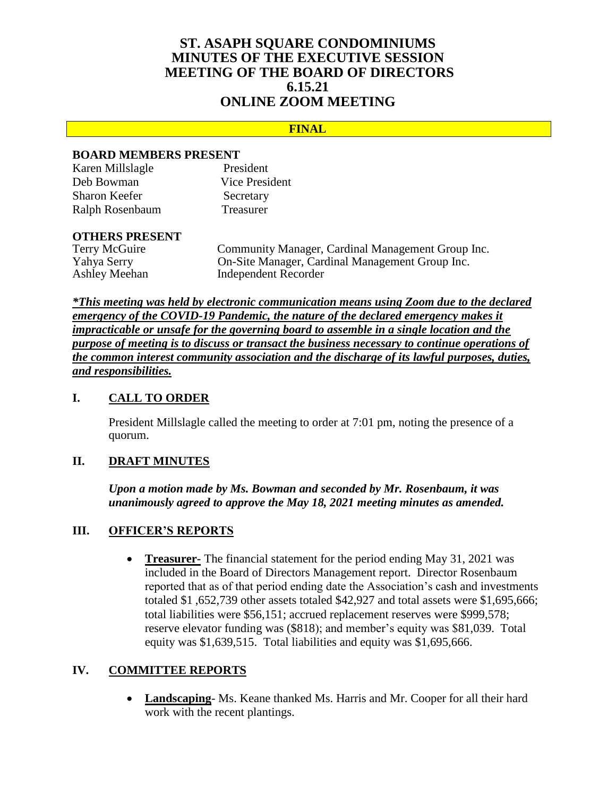# **ST. ASAPH SQUARE CONDOMINIUMS MINUTES OF THE EXECUTIVE SESSION MEETING OF THE BOARD OF DIRECTORS 6.15.21 ONLINE ZOOM MEETING**

#### **FINAL**

#### **BOARD MEMBERS PRESENT**

| Karen Millslagle     | President             |
|----------------------|-----------------------|
| Deb Bowman           | <b>Vice President</b> |
| <b>Sharon Keefer</b> | Secretary             |
| Ralph Rosenbaum      | Treasurer             |

# **OTHERS PRESENT**

Community Manager, Cardinal Management Group Inc. Yahya Serry On-Site Manager, Cardinal Management Group Inc. Ashley Meehan Independent Recorder

*\*This meeting was held by electronic communication means using Zoom due to the declared emergency of the COVID-19 Pandemic, the nature of the declared emergency makes it impracticable or unsafe for the governing board to assemble in a single location and the purpose of meeting is to discuss or transact the business necessary to continue operations of the common interest community association and the discharge of its lawful purposes, duties, and responsibilities.*

# **I. CALL TO ORDER**

President Millslagle called the meeting to order at 7:01 pm, noting the presence of a quorum.

#### **II. DRAFT MINUTES**

*Upon a motion made by Ms. Bowman and seconded by Mr. Rosenbaum, it was unanimously agreed to approve the May 18, 2021 meeting minutes as amended.*

# **III. OFFICER'S REPORTS**

 **Treasurer-** The financial statement for the period ending May 31, 2021 was included in the Board of Directors Management report. Director Rosenbaum reported that as of that period ending date the Association's cash and investments totaled \$1 ,652,739 other assets totaled \$42,927 and total assets were \$1,695,666; total liabilities were \$56,151; accrued replacement reserves were \$999,578; reserve elevator funding was (\$818); and member's equity was \$81,039. Total equity was \$1,639,515. Total liabilities and equity was \$1,695,666.

# **IV. COMMITTEE REPORTS**

 **Landscaping**- Ms. Keane thanked Ms. Harris and Mr. Cooper for all their hard work with the recent plantings.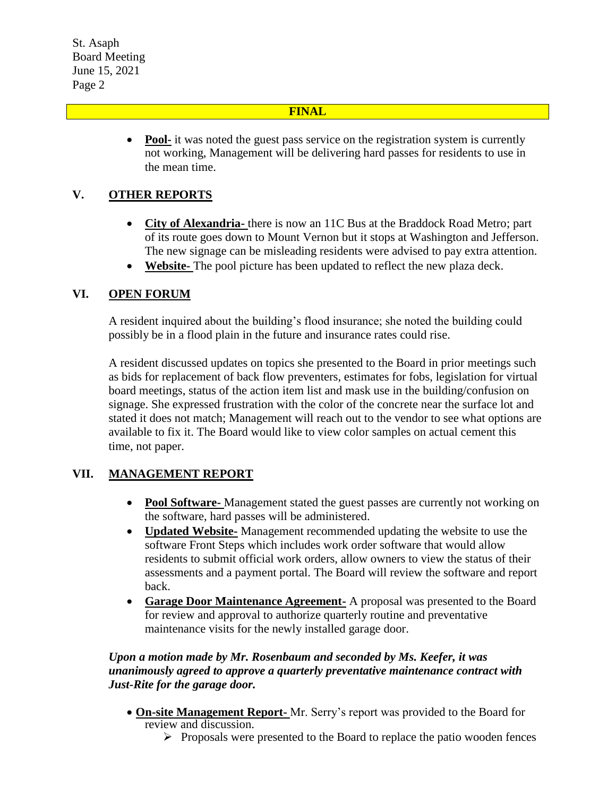St. Asaph Board Meeting June 15, 2021 Page 2

#### **FINAL**

• Pool- it was noted the guest pass service on the registration system is currently not working, Management will be delivering hard passes for residents to use in the mean time.

# **V. OTHER REPORTS**

- **City of Alexandria-** there is now an 11C Bus at the Braddock Road Metro; part of its route goes down to Mount Vernon but it stops at Washington and Jefferson. The new signage can be misleading residents were advised to pay extra attention.
- **Website-** The pool picture has been updated to reflect the new plaza deck.

# **VI. OPEN FORUM**

A resident inquired about the building's flood insurance; she noted the building could possibly be in a flood plain in the future and insurance rates could rise.

A resident discussed updates on topics she presented to the Board in prior meetings such as bids for replacement of back flow preventers, estimates for fobs, legislation for virtual board meetings, status of the action item list and mask use in the building/confusion on signage. She expressed frustration with the color of the concrete near the surface lot and stated it does not match; Management will reach out to the vendor to see what options are available to fix it. The Board would like to view color samples on actual cement this time, not paper.

#### **VII. MANAGEMENT REPORT**

- **Pool Software-** Management stated the guest passes are currently not working on the software, hard passes will be administered.
- **Updated Website-** Management recommended updating the website to use the software Front Steps which includes work order software that would allow residents to submit official work orders, allow owners to view the status of their assessments and a payment portal. The Board will review the software and report back.
- **Garage Door Maintenance Agreement-** A proposal was presented to the Board for review and approval to authorize quarterly routine and preventative maintenance visits for the newly installed garage door.

# *Upon a motion made by Mr. Rosenbaum and seconded by Ms. Keefer, it was unanimously agreed to approve a quarterly preventative maintenance contract with Just-Rite for the garage door.*

- **On-site Management Report-** Mr. Serry's report was provided to the Board for review and discussion.
	- $\triangleright$  Proposals were presented to the Board to replace the patio wooden fences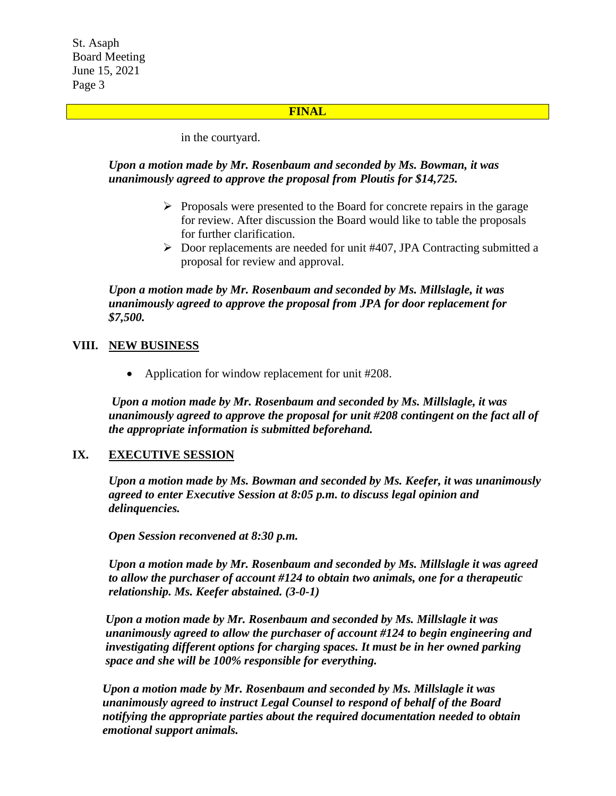St. Asaph Board Meeting June 15, 2021 Page 3

#### **FINAL**

in the courtyard.

#### *Upon a motion made by Mr. Rosenbaum and seconded by Ms. Bowman, it was unanimously agreed to approve the proposal from Ploutis for \$14,725.*

- $\triangleright$  Proposals were presented to the Board for concrete repairs in the garage for review. After discussion the Board would like to table the proposals for further clarification.
- $\triangleright$  Door replacements are needed for unit #407, JPA Contracting submitted a proposal for review and approval.

*Upon a motion made by Mr. Rosenbaum and seconded by Ms. Millslagle, it was unanimously agreed to approve the proposal from JPA for door replacement for \$7,500.*

#### **VIII. NEW BUSINESS**

• Application for window replacement for unit #208.

*Upon a motion made by Mr. Rosenbaum and seconded by Ms. Millslagle, it was unanimously agreed to approve the proposal for unit #208 contingent on the fact all of the appropriate information is submitted beforehand.*

#### **IX. EXECUTIVE SESSION**

*Upon a motion made by Ms. Bowman and seconded by Ms. Keefer, it was unanimously agreed to enter Executive Session at 8:05 p.m. to discuss legal opinion and delinquencies.*

*Open Session reconvened at 8:30 p.m.*

*Upon a motion made by Mr. Rosenbaum and seconded by Ms. Millslagle it was agreed to allow the purchaser of account #124 to obtain two animals, one for a therapeutic relationship. Ms. Keefer abstained. (3-0-1)* 

*Upon a motion made by Mr. Rosenbaum and seconded by Ms. Millslagle it was unanimously agreed to allow the purchaser of account #124 to begin engineering and investigating different options for charging spaces. It must be in her owned parking space and she will be 100% responsible for everything.* 

*Upon a motion made by Mr. Rosenbaum and seconded by Ms. Millslagle it was unanimously agreed to instruct Legal Counsel to respond of behalf of the Board notifying the appropriate parties about the required documentation needed to obtain emotional support animals.*